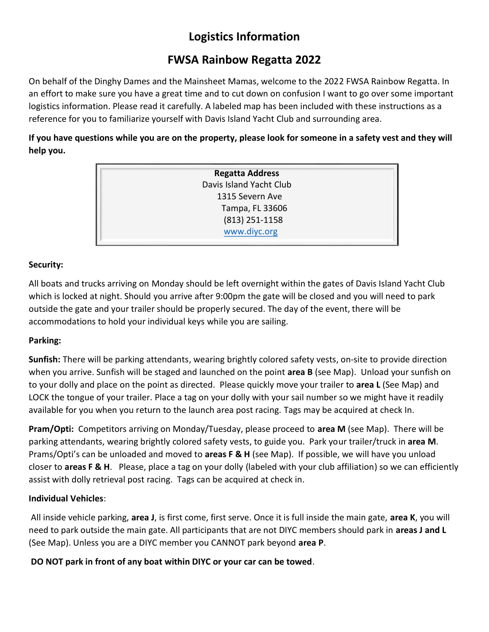# **Logistics Information**

## **FWSA Rainbow Regatta 2022**

On behalf of the Dinghy Dames and the Mainsheet Mamas, welcome to the 2022 FWSA Rainbow Regatta. In an effort to make sure you have a great time and to cut down on confusion I want to go over some important logistics information. Please read it carefully. A labeled map has been included with these instructions as a reference for you to familiarize yourself with Davis Island Yacht Club and surrounding area.

**If you have questions while you are on the property, please look for someone in a safety vest and they will help you.**

| <b>Regatta Address</b>  |  |
|-------------------------|--|
| Davis Island Yacht Club |  |
| 1315 Severn Ave         |  |
| Tampa, FL 33606         |  |
| (813) 251-1158          |  |
| www.diyc.org            |  |
|                         |  |

## **Security:**

All boats and trucks arriving on Monday should be left overnight within the gates of Davis Island Yacht Club which is locked at night. Should you arrive after 9:00pm the gate will be closed and you will need to park outside the gate and your trailer should be properly secured. The day of the event, there will be accommodations to hold your individual keys while you are sailing.

## **Parking:**

**Sunfish:** There will be parking attendants, wearing brightly colored safety vests, on-site to provide direction when you arrive. Sunfish will be staged and launched on the point **area B** (see Map). Unload your sunfish on to your dolly and place on the point as directed. Please quickly move your trailer to **area L** (See Map) and LOCK the tongue of your trailer. Place a tag on your dolly with your sail number so we might have it readily available for you when you return to the launch area post racing. Tags may be acquired at check In.

**Pram/Opti:** Competitors arriving on Monday/Tuesday, please proceed to **area M** (see Map). There will be parking attendants, wearing brightly colored safety vests, to guide you. Park your trailer/truck in **area M**. Prams/Opti's can be unloaded and moved to **areas F & H** (see Map). If possible, we will have you unload closer to **areas F & H**. Please, place a tag on your dolly (labeled with your club affiliation) so we can efficiently assist with dolly retrieval post racing. Tags can be acquired at check in.

## **Individual Vehicles**:

All inside vehicle parking, **area J**, is first come, first serve. Once it is full inside the main gate, **area K**, you will need to park outside the main gate. All participants that are not DIYC members should park in **areas J and L** (See Map). Unless you are a DIYC member you CANNOT park beyond **area P**.

**DO NOT park in front of any boat within DIYC or your car can be towed**.